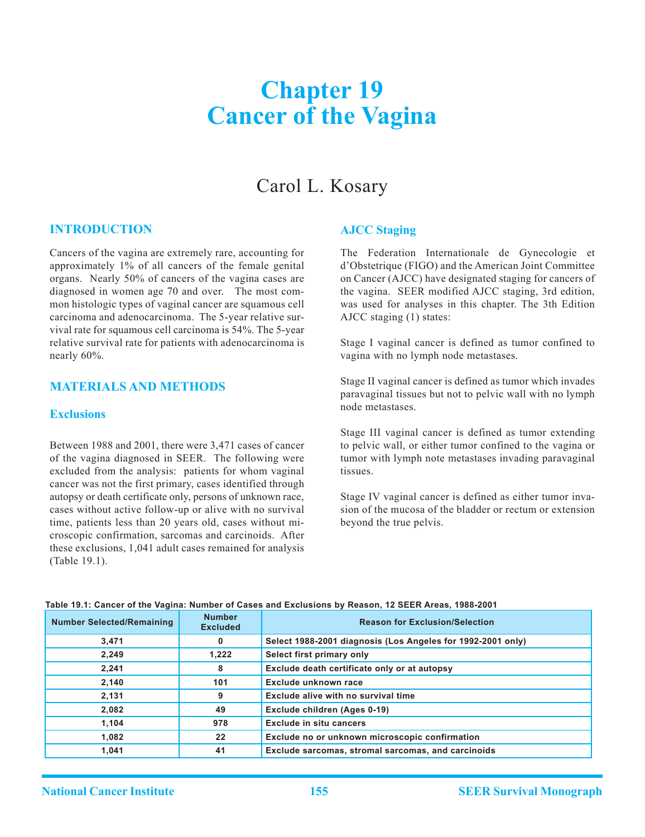# **Chapter 19 Cancer of the Vagina**

# Carol L. Kosary

## **Introduction**

Cancers of the vagina are extremely rare, accounting for approximately 1% of all cancers of the female genital organs. Nearly 50% of cancers of the vagina cases are diagnosed in women age 70 and over. The most common histologic types of vaginal cancer are squamous cell carcinoma and adenocarcinoma. The 5-year relative survival rate for squamous cell carcinoma is 54%. The 5-year relative survival rate for patients with adenocarcinoma is nearly 60%.

#### **Materials and Methods**

# **Exclusions**

Between 1988 and 2001, there were 3,471 cases of cancer of the vagina diagnosed in SEER. The following were excluded from the analysis: patients for whom vaginal cancer was not the first primary, cases identified through autopsy or death certificate only, persons of unknown race, cases without active follow-up or alive with no survival time, patients less than 20 years old, cases without microscopic confirmation, sarcomas and carcinoids. After these exclusions, 1,041 adult cases remained for analysis (Table 19.1).

### **AJCC Staging**

The Federation Internationale de Gynecologie et d'Obstetrique (FIGO) and the American Joint Committee on Cancer (AJCC) have designated staging for cancers of the vagina. SEER modified AJCC staging, 3rd edition, was used for analyses in this chapter. The 3th Edition AJCC staging (1) states:

Stage I vaginal cancer is defined as tumor confined to vagina with no lymph node metastases.

Stage II vaginal cancer is defined as tumor which invades paravaginal tissues but not to pelvic wall with no lymph node metastases.

Stage III vaginal cancer is defined as tumor extending to pelvic wall, or either tumor confined to the vagina or tumor with lymph note metastases invading paravaginal tissues.

Stage IV vaginal cancer is defined as either tumor invasion of the mucosa of the bladder or rectum or extension beyond the true pelvis.

| <b>Number Selected/Remaining</b> | <b>Number</b><br><b>Excluded</b> | <b>Reason for Exclusion/Selection</b>                       |  |  |  |
|----------------------------------|----------------------------------|-------------------------------------------------------------|--|--|--|
| 3,471                            | 0                                | Select 1988-2001 diagnosis (Los Angeles for 1992-2001 only) |  |  |  |
| 2,249                            | 1,222                            | Select first primary only                                   |  |  |  |
| 2,241                            | 8                                | Exclude death certificate only or at autopsy                |  |  |  |
| 2,140                            | 101                              | Exclude unknown race                                        |  |  |  |
| 2,131                            | 9                                | Exclude alive with no survival time                         |  |  |  |
| 2,082                            | 49                               | Exclude children (Ages 0-19)                                |  |  |  |
| 1,104                            | 978                              | <b>Exclude in situ cancers</b>                              |  |  |  |
| 1,082                            | 22                               | Exclude no or unknown microscopic confirmation              |  |  |  |
| 1,041                            | 41                               | Exclude sarcomas, stromal sarcomas, and carcinoids          |  |  |  |

#### **Table 19.1: Cancer of the Vagina: Number of Cases and Exclusions by Reason, 12 SEER Areas, 1988-2001**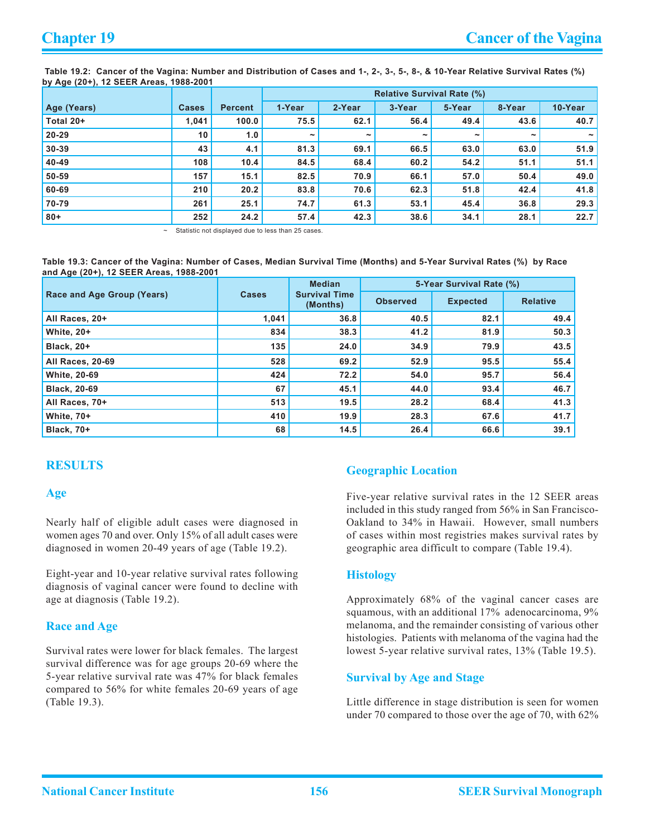**Table 19.2: Cancer of the Vagina: Number and Distribution of Cases and 1-, 2-, 3-, 5-, 8-, & 10-Year Relative Survival Rates (%) by Age (20+), 12 SEER Areas, 1988-2001**

|             |                 |                | <b>Relative Survival Rate (%)</b> |            |            |            |                       |         |  |
|-------------|-----------------|----------------|-----------------------------------|------------|------------|------------|-----------------------|---------|--|
| Age (Years) | <b>Cases</b>    | <b>Percent</b> | 1-Year                            | 2-Year     | 3-Year     | 5-Year     | 8-Year                | 10-Year |  |
| Total 20+   | 1,041           | 100.0          | 75.5                              | 62.1       | 56.4       | 49.4       | 43.6                  | 40.7    |  |
| $20 - 29$   | 10 <sup>1</sup> | 1.0            | $\tilde{\phantom{a}}$             | $\tilde{}$ | $\tilde{}$ | $\tilde{}$ | $\tilde{\phantom{a}}$ |         |  |
| 30-39       | 43              | 4.1            | 81.3                              | 69.1       | 66.5       | 63.0       | 63.0                  | 51.9    |  |
| 40-49       | 108             | 10.4           | 84.5                              | 68.4       | 60.2       | 54.2       | 51.1                  | 51.1    |  |
| 50-59       | 157             | 15.1           | 82.5                              | 70.9       | 66.1       | 57.0       | 50.4                  | 49.0    |  |
| 60-69       | 210             | 20.2           | 83.8                              | 70.6       | 62.3       | 51.8       | 42.4                  | 41.8    |  |
| 70-79       | 261             | 25.1           | 74.7                              | 61.3       | 53.1       | 45.4       | 36.8                  | 29.3    |  |
| $80 +$      | 252             | 24.2           | 57.4                              | 42.3       | 38.6       | 34.1       | 28.1                  | 22.7    |  |

Statistic not displayed due to less than 25 cases.

**Table 19.3: Cancer of the Vagina: Number of Cases, Median Survival Time (Months) and 5-Year Survival Rates (%) by Race and Age (20+), 12 SEER Areas, 1988-2001**

|                            |              | <b>Median</b>                    | 5-Year Survival Rate (%) |                 |                 |  |
|----------------------------|--------------|----------------------------------|--------------------------|-----------------|-----------------|--|
| Race and Age Group (Years) | <b>Cases</b> | <b>Survival Time</b><br>(Months) | <b>Observed</b>          | <b>Expected</b> | <b>Relative</b> |  |
| All Races, 20+             | 1,041        | 36.8                             | 40.5                     | 82.1            | 49.4            |  |
| <b>White, 20+</b>          | 834          | 38.3                             | 41.2                     | 81.9            | 50.3            |  |
| <b>Black, 20+</b>          | 135          | 24.0                             | 34.9                     | 79.9            | 43.5            |  |
| All Races, 20-69           | 528          | 69.2                             | 52.9                     | 95.5            | 55.4            |  |
| <b>White, 20-69</b>        | 424          | 72.2                             | 54.0                     | 95.7            | 56.4            |  |
| <b>Black, 20-69</b>        | 67           | 45.1                             | 44.0                     | 93.4            | 46.7            |  |
| All Races, 70+             | 513          | 19.5                             | 28.2                     | 68.4            | 41.3            |  |
| <b>White, 70+</b>          | 410          | 19.9                             | 28.3                     | 67.6            | 41.7            |  |
| <b>Black, 70+</b>          | 68           | 14.5                             | 26.4                     | 66.6            | 39.1            |  |

# **Results**

### **Age**

Nearly half of eligible adult cases were diagnosed in women ages 70 and over. Only 15% of all adult cases were diagnosed in women 20-49 years of age (Table 19.2).

Eight-year and 10-year relative survival rates following diagnosis of vaginal cancer were found to decline with age at diagnosis (Table 19.2).

# **Race and Age**

Survival rates were lower for black females. The largest survival difference was for age groups 20-69 where the 5-year relative survival rate was 47% for black females compared to 56% for white females 20-69 years of age (Table 19.3).

# **Geographic Location**

Five-year relative survival rates in the 12 SEER areas included in this study ranged from 56% in San Francisco-Oakland to 34% in Hawaii. However, small numbers of cases within most registries makes survival rates by geographic area difficult to compare (Table 19.4).

### **Histology**

Approximately 68% of the vaginal cancer cases are squamous, with an additional 17% adenocarcinoma, 9% melanoma, and the remainder consisting of various other histologies. Patients with melanoma of the vagina had the lowest 5-year relative survival rates, 13% (Table 19.5).

# **Survival by Age and Stage**

Little difference in stage distribution is seen for women under 70 compared to those over the age of 70, with 62%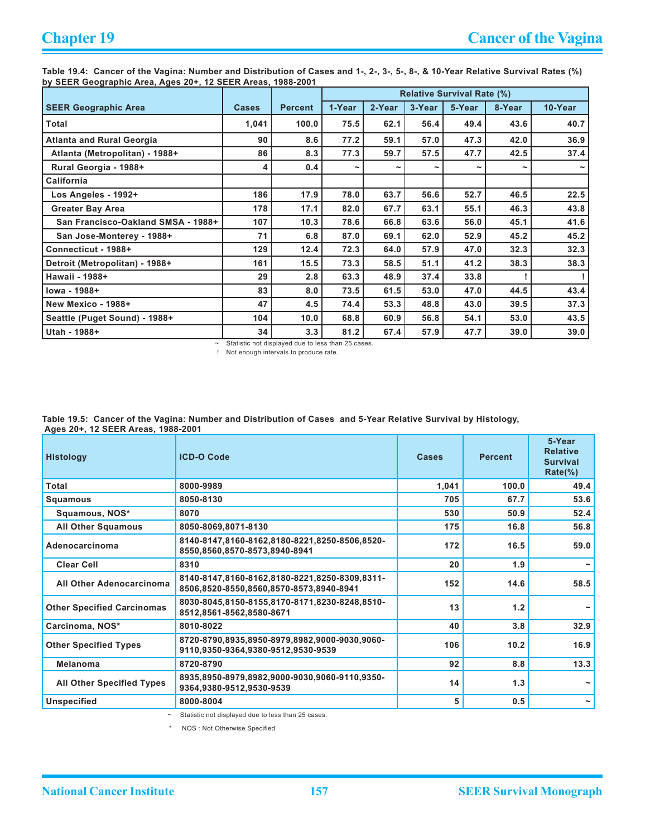**Table 19.4: Cancer of the Vagina: Number and Distribution of Cases and 1-, 2-, 3-, 5-, 8-, & 10-Year Relative Survival Rates (%) by SEER Geographic Area, Ages 20+, 12 SEER Areas, 1988-2001**

|                                    |              |                | <b>Relative Survival Rate (%)</b> |                       |                       |        |                       |         |
|------------------------------------|--------------|----------------|-----------------------------------|-----------------------|-----------------------|--------|-----------------------|---------|
| <b>SEER Geographic Area</b>        | <b>Cases</b> | <b>Percent</b> | 1-Year                            | 2-Year                | 3-Year                | 5-Year | 8-Year                | 10-Year |
| Total                              | 1,041        | 100.0          | 75.5                              | 62.1                  | 56.4                  | 49.4   | 43.6                  | 40.7    |
| <b>Atlanta and Rural Georgia</b>   | 90           | 8.6            | 77.2                              | 59.1                  | 57.0                  | 47.3   | 42.0                  | 36.9    |
| Atlanta (Metropolitan) - 1988+     | 86           | 8.3            | 77.3                              | 59.7                  | 57.5                  | 47.7   | 42.5                  | 37.4    |
| Rural Georgia - 1988+              | 4            | 0.4            | ∼                                 | $\tilde{\phantom{a}}$ | $\tilde{\phantom{a}}$ |        | $\tilde{\phantom{a}}$ |         |
| California                         |              |                |                                   |                       |                       |        |                       |         |
| Los Angeles - 1992+                | 186          | 17.9           | 78.0                              | 63.7                  | 56.6                  | 52.7   | 46.5                  | 22.5    |
| <b>Greater Bay Area</b>            | 178          | 17.1           | 82.0                              | 67.7                  | 63.1                  | 55.1   | 46.3                  | 43.8    |
| San Francisco-Oakland SMSA - 1988+ | 107          | 10.3           | 78.6                              | 66.8                  | 63.6                  | 56.0   | 45.1                  | 41.6    |
| San Jose-Monterey - 1988+          | 71           | 6.8            | 87.0                              | 69.1                  | 62.0                  | 52.9   | 45.2                  | 45.2    |
| Connecticut - 1988+                | 129          | 12.4           | 72.3                              | 64.0                  | 57.9                  | 47.0   | 32.3                  | 32.3    |
| Detroit (Metropolitan) - 1988+     | 161          | 15.5           | 73.3                              | 58.5                  | 51.1                  | 41.2   | 38.3                  | 38.3    |
| Hawaii - 1988+                     | 29           | 2.8            | 63.3                              | 48.9                  | 37.4                  | 33.8   |                       |         |
| lowa - 1988+                       | 83           | 8.0            | 73.5                              | 61.5                  | 53.0                  | 47.0   | 44.5                  | 43.4    |
| New Mexico - 1988+                 | 47           | 4.5            | 74.4                              | 53.3                  | 48.8                  | 43.0   | 39.5                  | 37.3    |
| Seattle (Puget Sound) - 1988+      | 104          | 10.0           | 68.8                              | 60.9                  | 56.8                  | 54.1   | 53.0                  | 43.5    |
| Utah - 1988+                       | 34           | 3.3            | 81.2                              | 67.4                  | 57.9                  | 47.7   | 39.0                  | 39.0    |

~ Statistic not displayed due to less than 25 cases.

! Not enough intervals to produce rate.

**Table 19.5: Cancer of the Vagina: Number and Distribution of Cases and 5-Year Relative Survival by Histology, Ages 20+, 12 SEER Areas, 1988-2001**

| <b>Histology</b>                  | <b>ICD-O Code</b>                                                                        | <b>Cases</b> | <b>Percent</b> | 5-Year<br><b>Relative</b><br><b>Survival</b><br>$Rate(\%)$ |
|-----------------------------------|------------------------------------------------------------------------------------------|--------------|----------------|------------------------------------------------------------|
| Total                             | 8000-9989                                                                                | 1,041        | 100.0          | 49.4                                                       |
| Squamous                          | 8050-8130                                                                                | 705          | 67.7           | 53.6                                                       |
| Squamous, NOS*                    | 8070                                                                                     | 530          | 50.9           | 52.4                                                       |
| <b>All Other Squamous</b>         | 8050-8069,8071-8130                                                                      | 175          | 16.8           | 56.8                                                       |
| Adenocarcinoma                    | 8140-8147,8160-8162,8180-8221,8250-8506,8520-<br>8550,8560,8570-8573,8940-8941           | 172          | 16.5           | 59.0                                                       |
| <b>Clear Cell</b>                 | 8310                                                                                     | 20           | 1.9            |                                                            |
| All Other Adenocarcinoma          | 8140-8147,8160-8162,8180-8221,8250-8309,8311-<br>8506,8520-8550,8560,8570-8573,8940-8941 | 152          | 14.6           | 58.5                                                       |
| <b>Other Specified Carcinomas</b> | 8030-8045,8150-8155,8170-8171,8230-8248,8510-<br>8512,8561-8562,8580-8671                | 13           | 1.2            |                                                            |
| Carcinoma, NOS*                   | 8010-8022                                                                                | 40           | 3.8            | 32.9                                                       |
| <b>Other Specified Types</b>      | 8720-8790.8935.8950-8979.8982.9000-9030.9060-<br>9110,9350-9364,9380-9512,9530-9539      | 106          | 10.2           | 16.9                                                       |
| Melanoma                          | 8720-8790                                                                                | 92           | 8.8            | 13.3                                                       |
| <b>All Other Specified Types</b>  | 8935,8950-8979,8982,9000-9030,9060-9110,9350-<br>9364,9380-9512,9530-9539                | 14           | 1.3            |                                                            |
| <b>Unspecified</b>                | 8000-8004                                                                                | 5            | 0.5            | $\tilde{\phantom{a}}$                                      |

~ Statistic not displayed due to less than 25 cases.

\* NOS : Not Otherwise Specified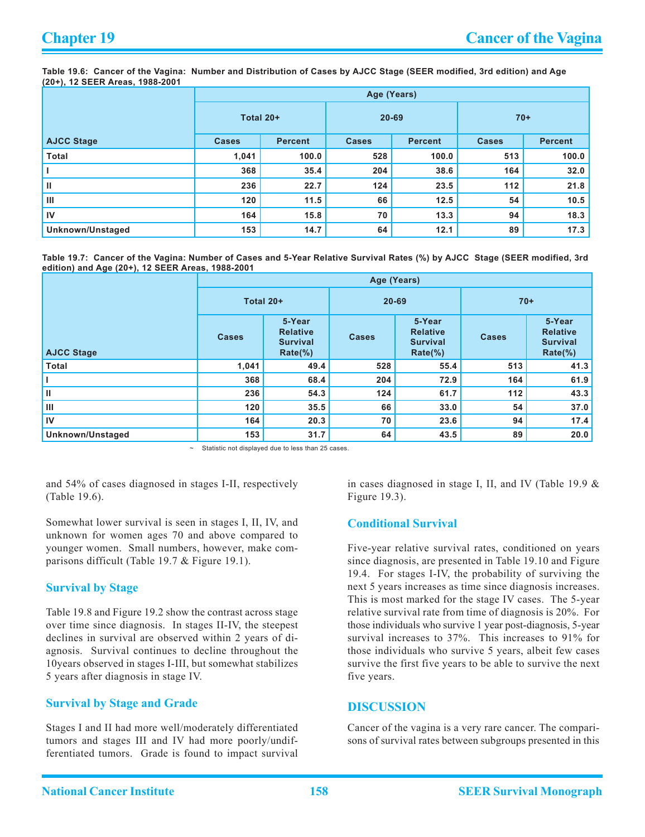**Table 19.6: Cancer of the Vagina: Number and Distribution of Cases by AJCC Stage (SEER modified, 3rd edition) and Age (20+), 12 SEER Areas, 1988-2001**

|                   | Age (Years)  |                |              |                |              |                |  |  |  |  |  |
|-------------------|--------------|----------------|--------------|----------------|--------------|----------------|--|--|--|--|--|
|                   |              | Total 20+      |              | $20 - 69$      | $70+$        |                |  |  |  |  |  |
| <b>AJCC Stage</b> | <b>Cases</b> | <b>Percent</b> | <b>Cases</b> | <b>Percent</b> | <b>Cases</b> | <b>Percent</b> |  |  |  |  |  |
| <b>Total</b>      | 1,041        | 100.0          | 528          | 100.0          | 513          | 100.0          |  |  |  |  |  |
|                   | 368          | 35.4           | 204          | 38.6           | 164          | 32.0           |  |  |  |  |  |
| Ш                 | 236          | 22.7           | 124          | 23.5           | 112          | 21.8           |  |  |  |  |  |
| Ш                 | 120          | 11.5           | 66           | 12.5           | 54           | 10.5           |  |  |  |  |  |
| IV                | 164          | 15.8           | 70           | 13.3           | 94           | 18.3           |  |  |  |  |  |
| Unknown/Unstaged  | 153          | 14.7           | 64           | 12.1           | 89           | 17.3           |  |  |  |  |  |

**Table 19.7: Cancer of the Vagina: Number of Cases and 5-Year Relative Survival Rates (%) by AJCC Stage (SEER modified, 3rd edition) and Age (20+), 12 SEER Areas, 1988-2001**

|                   | Age (Years)  |                                                           |              |                                                           |              |                                                           |  |  |  |  |
|-------------------|--------------|-----------------------------------------------------------|--------------|-----------------------------------------------------------|--------------|-----------------------------------------------------------|--|--|--|--|
|                   | Total 20+    |                                                           | $20 - 69$    |                                                           | $70+$        |                                                           |  |  |  |  |
| <b>AJCC Stage</b> | <b>Cases</b> | 5-Year<br><b>Relative</b><br><b>Survival</b><br>$Rate$ %) | <b>Cases</b> | 5-Year<br><b>Relative</b><br><b>Survival</b><br>$Rate$ %) | <b>Cases</b> | 5-Year<br><b>Relative</b><br><b>Survival</b><br>$Rate$ %) |  |  |  |  |
| <b>Total</b>      | 1,041        | 49.4                                                      | 528          | 55.4                                                      | 513          | 41.3                                                      |  |  |  |  |
|                   | 368          | 68.4                                                      | 204          | 72.9                                                      | 164          | 61.9                                                      |  |  |  |  |
| II                | 236          | 54.3                                                      | 124          | 61.7                                                      | 112          | 43.3                                                      |  |  |  |  |
| Ш                 | 120          | 35.5                                                      | 66           | 33.0                                                      | 54           | 37.0                                                      |  |  |  |  |
| IV                | 164          | 20.3                                                      | 70           | 23.6                                                      | 94           | 17.4                                                      |  |  |  |  |
| Unknown/Unstaged  | 153          | 31.7                                                      | 64           | 43.5                                                      | 89           | 20.0                                                      |  |  |  |  |

Statistic not displayed due to less than 25 cases.

and 54% of cases diagnosed in stages I-II, respectively (Table 19.6).

Somewhat lower survival is seen in stages I, II, IV, and unknown for women ages 70 and above compared to younger women. Small numbers, however, make comparisons difficult (Table 19.7 & Figure 19.1).

### **Survival by Stage**

Table 19.8 and Figure 19.2 show the contrast across stage over time since diagnosis. In stages II-IV, the steepest declines in survival are observed within 2 years of diagnosis. Survival continues to decline throughout the 10years observed in stages I-III, but somewhat stabilizes 5 years after diagnosis in stage IV.

# **Survival by Stage and Grade**

Stages I and II had more well/moderately differentiated tumors and stages III and IV had more poorly/undifferentiated tumors. Grade is found to impact survival in cases diagnosed in stage I, II, and IV (Table 19.9 & Figure 19.3).

### **Conditional Survival**

Five-year relative survival rates, conditioned on years since diagnosis, are presented in Table 19.10 and Figure 19.4. For stages I-IV, the probability of surviving the next 5 years increases as time since diagnosis increases. This is most marked for the stage IV cases. The 5-year relative survival rate from time of diagnosis is 20%. For those individuals who survive 1 year post-diagnosis, 5-year survival increases to 37%. This increases to 91% for those individuals who survive 5 years, albeit few cases survive the first five years to be able to survive the next five years.

# **Discussion**

Cancer of the vagina is a very rare cancer. The comparisons of survival rates between subgroups presented in this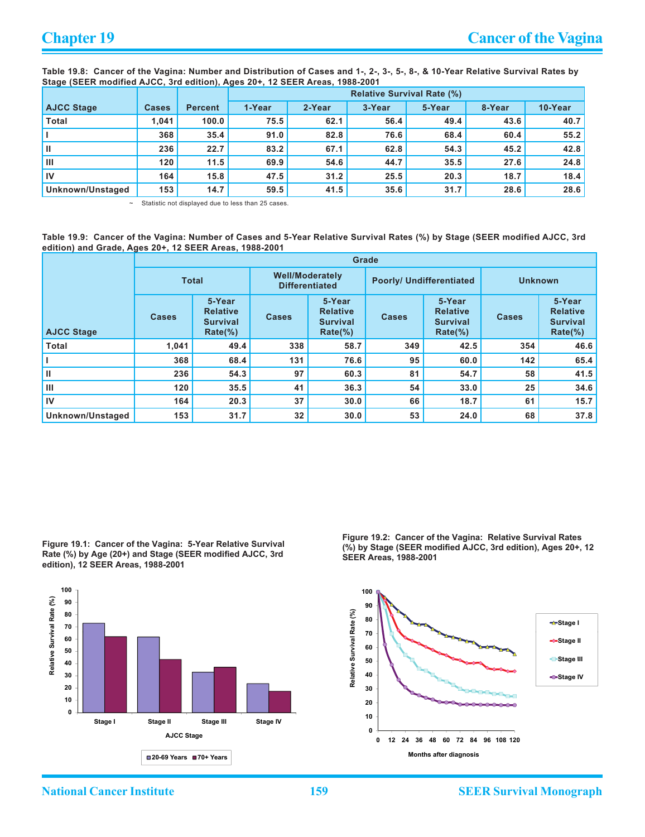**Table 19.8: Cancer of the Vagina: Number and Distribution of Cases and 1-, 2-, 3-, 5-, 8-, & 10-Year Relative Survival Rates by Stage (SEER modified AJCC, 3rd edition), Ages 20+, 12 SEER Areas, 1988-2001**

|                   |              |                | <b>Relative Survival Rate (%)</b> |        |        |        |        |         |  |
|-------------------|--------------|----------------|-----------------------------------|--------|--------|--------|--------|---------|--|
| <b>AJCC Stage</b> | <b>Cases</b> | <b>Percent</b> | 1-Year                            | 2-Year | 3-Year | 5-Year | 8-Year | 10-Year |  |
| <b>Total</b>      | 1.041        | 100.0          | 75.5                              | 62.1   | 56.4   | 49.4   | 43.6   | 40.7    |  |
|                   | 368          | 35.4           | 91.0                              | 82.8   | 76.6   | 68.4   | 60.4   | 55.2    |  |
| Ш                 | 236          | 22.7           | 83.2                              | 67.1   | 62.8   | 54.3   | 45.2   | 42.8    |  |
| Ш                 | 120          | 11.5           | 69.9                              | 54.6   | 44.7   | 35.5   | 27.6   | 24.8    |  |
| IV                | 164          | 15.8           | 47.5                              | 31.2   | 25.5   | 20.3   | 18.7   | 18.4    |  |
| Unknown/Unstaged  | 153          | 14.7           | 59.5                              | 41.5   | 35.6   | 31.7   | 28.6   | 28.6    |  |

Statistic not displayed due to less than 25 cases.

**Table 19.9: Cancer of the Vagina: Number of Cases and 5-Year Relative Survival Rates (%) by Stage (SEER modified AJCC, 3rd edition) and Grade, Ages 20+, 12 SEER Areas, 1988-2001**

|                   | Grade        |                                                           |                                                 |                                                            |                          |                                                            |                |                                                            |  |  |  |  |
|-------------------|--------------|-----------------------------------------------------------|-------------------------------------------------|------------------------------------------------------------|--------------------------|------------------------------------------------------------|----------------|------------------------------------------------------------|--|--|--|--|
|                   | <b>Total</b> |                                                           | <b>Well/Moderately</b><br><b>Differentiated</b> |                                                            | Poorly/ Undifferentiated |                                                            | <b>Unknown</b> |                                                            |  |  |  |  |
| <b>AJCC Stage</b> | <b>Cases</b> | 5-Year<br><b>Relative</b><br><b>Survival</b><br>$Rate$ %) | <b>Cases</b>                                    | 5-Year<br><b>Relative</b><br><b>Survival</b><br>$Rate(\%)$ | <b>Cases</b>             | 5-Year<br><b>Relative</b><br><b>Survival</b><br>$Rate(\%)$ | <b>Cases</b>   | 5-Year<br><b>Relative</b><br><b>Survival</b><br>$Rate(\%)$ |  |  |  |  |
| <b>Total</b>      | 1,041        | 49.4                                                      | 338                                             | 58.7                                                       | 349                      | 42.5                                                       | 354            | 46.6                                                       |  |  |  |  |
|                   | 368          | 68.4                                                      | 131                                             | 76.6                                                       | 95                       | 60.0                                                       | 142            | 65.4                                                       |  |  |  |  |
| Ш                 | 236          | 54.3                                                      | 97                                              | 60.3                                                       | 81                       | 54.7                                                       | 58             | 41.5                                                       |  |  |  |  |
| Ш                 | 120          | 35.5                                                      | 41                                              | 36.3                                                       | 54                       | 33.0                                                       | 25             | 34.6                                                       |  |  |  |  |
| IV                | 164          | 20.3                                                      | 37                                              | 30.0                                                       | 66                       | 18.7                                                       | 61             | 15.7                                                       |  |  |  |  |
| Unknown/Unstaged  | 153          | 31.7                                                      | 32                                              | 30.0                                                       | 53                       | 24.0                                                       | 68             | 37.8                                                       |  |  |  |  |

**Figure 19.1: Cancer of the Vagina: 5-Year Relative Survival Rate (%) by Age (20+) and Stage (SEER modified AJCC, 3rd edition), 12 SEER Areas, 1988-2001**



**Figure 19.2: Cancer of the Vagina: Relative Survival Rates (%) by Stage (SEER modified AJCC, 3rd edition), Ages 20+, 12 SEER Areas, 1988-2001**